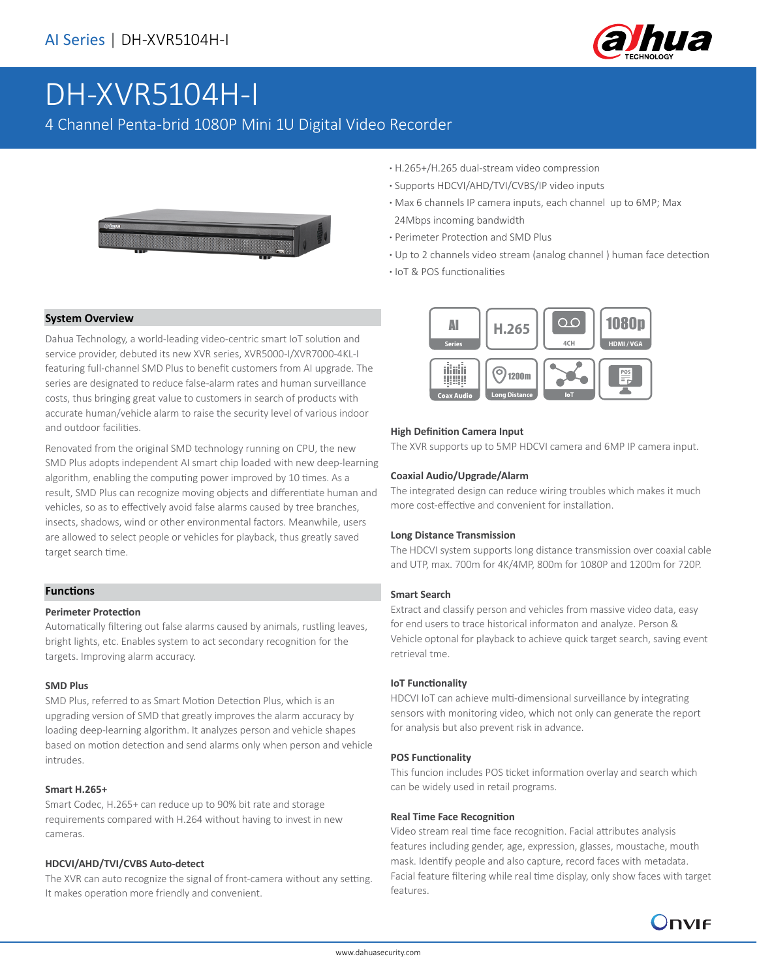

# DH-XVR5104H-I

4 Channel Penta-brid 1080P Mini 1U Digital Video Recorder



- **·** H.265+/H.265 dual-stream video compression
- **·** Supports HDCVI/AHD/TVI/CVBS/IP video inputs
- **·** Max 6 channels IP camera inputs, each channel up to 6MP; Max 24Mbps incoming bandwidth
- **·** Perimeter Protection and SMD Plus
- **·** Up to 2 channels video stream (analog channel ) human face detection
- **·** IoT & POS functionalities

#### **System Overview**

Dahua Technology, a world-leading video-centric smart IoT solution and service provider, debuted its new XVR series, XVR5000-I/XVR7000-4KL-I featuring full-channel SMD Plus to benefit customers from AI upgrade. The series are designated to reduce false-alarm rates and human surveillance costs, thus bringing great value to customers in search of products with accurate human/vehicle alarm to raise the security level of various indoor and outdoor facilities.

Renovated from the original SMD technology running on CPU, the new SMD Plus adopts independent AI smart chip loaded with new deep-learning algorithm, enabling the computing power improved by 10 times. As a result, SMD Plus can recognize moving objects and differentiate human and vehicles, so as to effectively avoid false alarms caused by tree branches, insects, shadows, wind or other environmental factors. Meanwhile, users are allowed to select people or vehicles for playback, thus greatly saved target search time.

#### **Functions**

#### **Perimeter Protection**

Automatically filtering out false alarms caused by animals, rustling leaves, bright lights, etc. Enables system to act secondary recognition for the targets. Improving alarm accuracy.

#### **SMD Plus**

SMD Plus, referred to as Smart Motion Detection Plus, which is an upgrading version of SMD that greatly improves the alarm accuracy by loading deep-learning algorithm. It analyzes person and vehicle shapes based on motion detection and send alarms only when person and vehicle intrudes.

#### **Smart H.265+**

Smart Codec, H.265+ can reduce up to 90% bit rate and storage requirements compared with H.264 without having to invest in new cameras.

#### **HDCVI/AHD/TVI/CVBS Auto-detect**

The XVR can auto recognize the signal of front-camera without any setting. It makes operation more friendly and convenient.



#### **High Definition Camera Input**

The XVR supports up to 5MP HDCVI camera and 6MP IP camera input.

#### **Coaxial Audio/Upgrade/Alarm**

The integrated design can reduce wiring troubles which makes it much more cost-effective and convenient for installation.

#### **Long Distance Transmission**

The HDCVI system supports long distance transmission over coaxial cable and UTP, max. 700m for 4K/4MP, 800m for 1080P and 1200m for 720P.

#### **Smart Search**

Extract and classify person and vehicles from massive video data, easy for end users to trace historical informaton and analyze. Person & Vehicle optonal for playback to achieve quick target search, saving event retrieval tme.

#### **IoT Functionality**

HDCVI IoT can achieve multi-dimensional surveillance by integrating sensors with monitoring video, which not only can generate the report for analysis but also prevent risk in advance.

#### **POS Functionality**

This funcion includes POS ticket information overlay and search which can be widely used in retail programs.

#### **Real Time Face Recognition**

Video stream real time face recognition. Facial attributes analysis features including gender, age, expression, glasses, moustache, mouth mask. Identify people and also capture, record faces with metadata. Facial feature filtering while real time display, only show faces with target features.

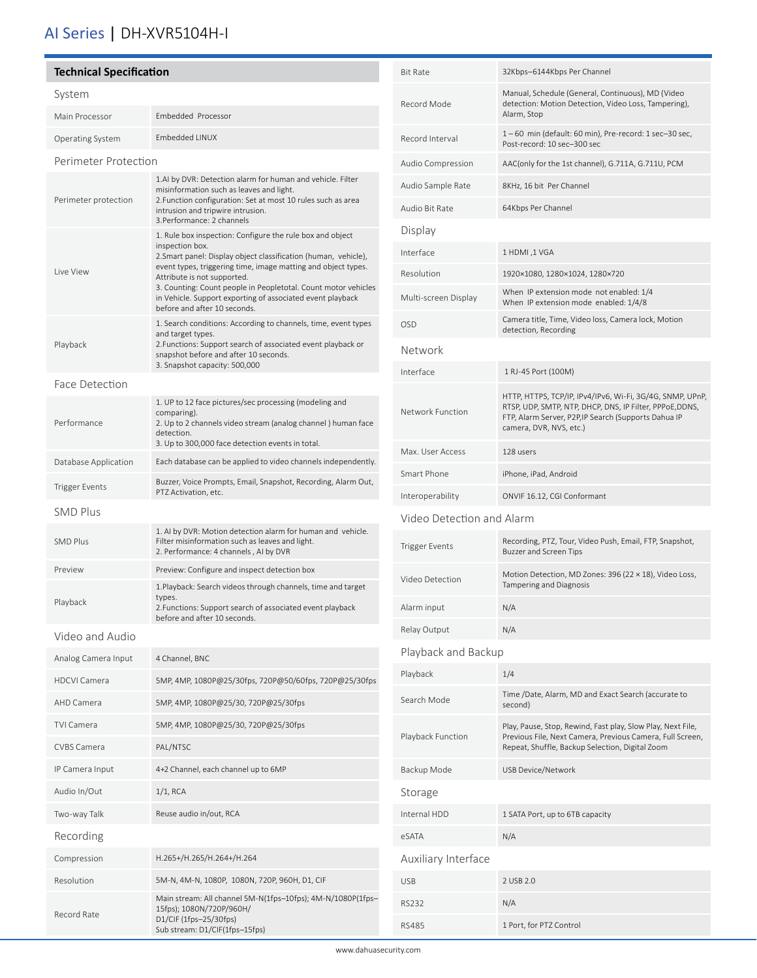## AI Series | DH-XVR5104H-I

í

| <b>Technical Specification</b>                |                                                                                                                                                                                                                                                                                                                                                                                                                                               | <b>Bit Rate</b>           | 32Kbps-6144Kbps Per Channel                                                                                                                                                                              |
|-----------------------------------------------|-----------------------------------------------------------------------------------------------------------------------------------------------------------------------------------------------------------------------------------------------------------------------------------------------------------------------------------------------------------------------------------------------------------------------------------------------|---------------------------|----------------------------------------------------------------------------------------------------------------------------------------------------------------------------------------------------------|
| System                                        |                                                                                                                                                                                                                                                                                                                                                                                                                                               | Record Mode               | Manual, Schedule (General, Continuous), MD (Video                                                                                                                                                        |
| Main Processor                                | Embedded Processor                                                                                                                                                                                                                                                                                                                                                                                                                            |                           | detection: Motion Detection, Video Loss, Tampering),<br>Alarm, Stop                                                                                                                                      |
| <b>Operating System</b>                       | Embedded LINUX                                                                                                                                                                                                                                                                                                                                                                                                                                | Record Interval           | 1-60 min (default: 60 min), Pre-record: 1 sec-30 sec,<br>Post-record: 10 sec-300 sec                                                                                                                     |
| Perimeter Protection                          |                                                                                                                                                                                                                                                                                                                                                                                                                                               | Audio Compression         | AAC(only for the 1st channel), G.711A, G.711U, PCM                                                                                                                                                       |
| Perimeter protection                          | 1.AI by DVR: Detection alarm for human and vehicle. Filter<br>misinformation such as leaves and light.<br>2. Function configuration: Set at most 10 rules such as area<br>intrusion and tripwire intrusion.                                                                                                                                                                                                                                   | Audio Sample Rate         | 8KHz, 16 bit Per Channel                                                                                                                                                                                 |
|                                               |                                                                                                                                                                                                                                                                                                                                                                                                                                               | Audio Bit Rate            | 64Kbps Per Channel                                                                                                                                                                                       |
| Live View                                     | 3. Performance: 2 channels<br>1. Rule box inspection: Configure the rule box and object<br>inspection box.<br>2. Smart panel: Display object classification (human, vehicle),<br>event types, triggering time, image matting and object types.<br>Attribute is not supported.<br>3. Counting: Count people in Peopletotal. Count motor vehicles<br>in Vehicle. Support exporting of associated event playback<br>before and after 10 seconds. | Display                   |                                                                                                                                                                                                          |
|                                               |                                                                                                                                                                                                                                                                                                                                                                                                                                               | Interface                 | 1 HDMI, 1 VGA                                                                                                                                                                                            |
|                                               |                                                                                                                                                                                                                                                                                                                                                                                                                                               | Resolution                | 1920×1080, 1280×1024, 1280×720                                                                                                                                                                           |
|                                               |                                                                                                                                                                                                                                                                                                                                                                                                                                               | Multi-screen Display      | When IP extension mode not enabled: 1/4<br>When IP extension mode enabled: 1/4/8                                                                                                                         |
| Playback                                      | 1. Search conditions: According to channels, time, event types<br>and target types.<br>2. Functions: Support search of associated event playback or<br>snapshot before and after 10 seconds.                                                                                                                                                                                                                                                  | OSD                       | Camera title, Time, Video loss, Camera lock, Motion<br>detection, Recording                                                                                                                              |
|                                               |                                                                                                                                                                                                                                                                                                                                                                                                                                               | Network                   |                                                                                                                                                                                                          |
|                                               | 3. Snapshot capacity: 500,000                                                                                                                                                                                                                                                                                                                                                                                                                 | Interface                 | 1 RJ-45 Port (100M)                                                                                                                                                                                      |
| Face Detection<br>Performance                 | 1. UP to 12 face pictures/sec processing (modeling and<br>comparing).<br>2. Up to 2 channels video stream (analog channel) human face<br>detection.                                                                                                                                                                                                                                                                                           | Network Function          | HTTP, HTTPS, TCP/IP, IPv4/IPv6, Wi-Fi, 3G/4G, SNMP, UPnP,<br>RTSP, UDP, SMTP, NTP, DHCP, DNS, IP Filter, PPPoE, DDNS,<br>FTP, Alarm Server, P2P, IP Search (Supports Dahua IP<br>camera, DVR, NVS, etc.) |
|                                               | 3. Up to 300,000 face detection events in total.                                                                                                                                                                                                                                                                                                                                                                                              | Max. User Access          | 128 users                                                                                                                                                                                                |
| Database Application                          | Each database can be applied to video channels independently.<br>Buzzer, Voice Prompts, Email, Snapshot, Recording, Alarm Out,                                                                                                                                                                                                                                                                                                                | Smart Phone               | iPhone, iPad, Android                                                                                                                                                                                    |
| <b>Trigger Events</b><br>PTZ Activation, etc. |                                                                                                                                                                                                                                                                                                                                                                                                                                               | Interoperability          | ONVIF 16.12, CGI Conformant                                                                                                                                                                              |
| <b>SMD Plus</b>                               |                                                                                                                                                                                                                                                                                                                                                                                                                                               | Video Detection and Alarm |                                                                                                                                                                                                          |
| <b>SMD Plus</b>                               | 1. AI by DVR: Motion detection alarm for human and vehicle.<br>Filter misinformation such as leaves and light.<br>2. Performance: 4 channels, AI by DVR                                                                                                                                                                                                                                                                                       | <b>Trigger Events</b>     | Recording, PTZ, Tour, Video Push, Email, FTP, Snapshot,<br><b>Buzzer and Screen Tips</b>                                                                                                                 |
| Preview                                       | Preview: Configure and inspect detection box                                                                                                                                                                                                                                                                                                                                                                                                  | Video Detection           | Motion Detection, MD Zones: 396 (22 × 18), Video Loss,                                                                                                                                                   |
| Playback                                      | 1. Playback: Search videos through channels, time and target<br>types.<br>2. Functions: Support search of associated event playback                                                                                                                                                                                                                                                                                                           | Alarm input               | Tampering and Diagnosis<br>N/A                                                                                                                                                                           |
|                                               | before and after 10 seconds.                                                                                                                                                                                                                                                                                                                                                                                                                  | Relay Output              | N/A                                                                                                                                                                                                      |
| Video and Audio                               |                                                                                                                                                                                                                                                                                                                                                                                                                                               | Playback and Backup       |                                                                                                                                                                                                          |
| Analog Camera Input                           | 4 Channel, BNC                                                                                                                                                                                                                                                                                                                                                                                                                                | Playback                  | 1/4                                                                                                                                                                                                      |
| <b>HDCVI Camera</b>                           | 5MP, 4MP, 1080P@25/30fps, 720P@50/60fps, 720P@25/30fps                                                                                                                                                                                                                                                                                                                                                                                        |                           | Time /Date, Alarm, MD and Exact Search (accurate to                                                                                                                                                      |
| AHD Camera                                    | 5MP, 4MP, 1080P@25/30, 720P@25/30fps                                                                                                                                                                                                                                                                                                                                                                                                          | Search Mode               | second)                                                                                                                                                                                                  |
| <b>TVI Camera</b>                             | 5MP, 4MP, 1080P@25/30, 720P@25/30fps                                                                                                                                                                                                                                                                                                                                                                                                          | Playback Function         | Play, Pause, Stop, Rewind, Fast play, Slow Play, Next File,<br>Previous File, Next Camera, Previous Camera, Full Screen,<br>Repeat, Shuffle, Backup Selection, Digital Zoom                              |
| <b>CVBS Camera</b>                            | PAL/NTSC                                                                                                                                                                                                                                                                                                                                                                                                                                      |                           |                                                                                                                                                                                                          |
| IP Camera Input                               | 4+2 Channel, each channel up to 6MP                                                                                                                                                                                                                                                                                                                                                                                                           | Backup Mode               | USB Device/Network                                                                                                                                                                                       |
| Audio In/Out                                  | $1/1$ , RCA                                                                                                                                                                                                                                                                                                                                                                                                                                   | Storage                   |                                                                                                                                                                                                          |
| Two-way Talk                                  | Reuse audio in/out, RCA                                                                                                                                                                                                                                                                                                                                                                                                                       | Internal HDD              | 1 SATA Port, up to 6TB capacity                                                                                                                                                                          |
| Recording                                     |                                                                                                                                                                                                                                                                                                                                                                                                                                               | eSATA                     | N/A                                                                                                                                                                                                      |
| Compression                                   | H.265+/H.265/H.264+/H.264                                                                                                                                                                                                                                                                                                                                                                                                                     | Auxiliary Interface       |                                                                                                                                                                                                          |
| Resolution                                    | 5M-N, 4M-N, 1080P, 1080N, 720P, 960H, D1, CIF                                                                                                                                                                                                                                                                                                                                                                                                 | <b>USB</b>                | 2 USB 2.0                                                                                                                                                                                                |
| Record Rate                                   | Main stream: All channel 5M-N(1fps-10fps); 4M-N/1080P(1fps-<br>15fps); 1080N/720P/960H/<br>D1/CIF (1fps-25/30fps)<br>Sub stream: D1/CIF(1fps-15fps)                                                                                                                                                                                                                                                                                           | <b>RS232</b>              | N/A                                                                                                                                                                                                      |
|                                               |                                                                                                                                                                                                                                                                                                                                                                                                                                               | <b>RS485</b>              | 1 Port, for PTZ Control                                                                                                                                                                                  |